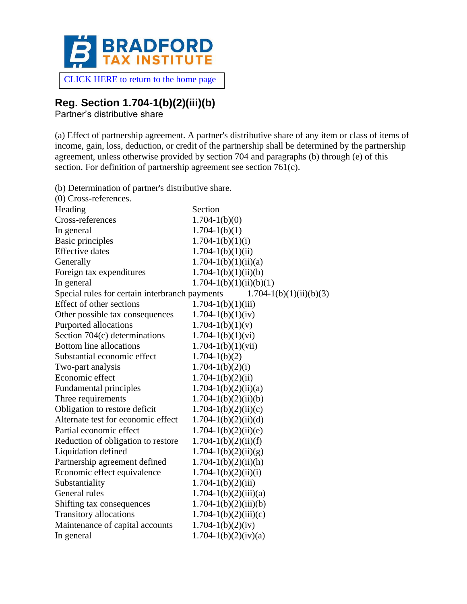

[CLICK HERE to return to the home page](https://www.bradfordtaxinstitute.com)

# **Reg. Section 1.704-1(b)(2)(iii)(b)**

Partner's distributive share

(a) Effect of partnership agreement. A partner's distributive share of any item or class of items of income, gain, loss, deduction, or credit of the partnership shall be determined by the partnership agreement, unless otherwise provided by section 704 and paragraphs (b) through (e) of this section. For definition of partnership agreement see section 761(c).

(b) Determination of partner's distributive share.

| $(0)$ Cross-references.                                                       |                             |  |
|-------------------------------------------------------------------------------|-----------------------------|--|
| Heading                                                                       | Section                     |  |
| Cross-references                                                              | $1.704 - 1(b)(0)$           |  |
| In general                                                                    | $1.704 - 1(b)(1)$           |  |
| <b>Basic principles</b>                                                       | $1.704 - 1(b)(1)(i)$        |  |
| <b>Effective</b> dates                                                        | $1.704 - 1(b)(1)(ii)$       |  |
| Generally                                                                     | $1.704 - 1(b)(1)(ii)(a)$    |  |
| Foreign tax expenditures                                                      | $1.704 - 1(b)(1)(ii)(b)$    |  |
| In general                                                                    | $1.704 - 1(b)(1)(ii)(b)(1)$ |  |
| Special rules for certain interbranch payments<br>$1.704 - 1(b)(1)(ii)(b)(3)$ |                             |  |
| Effect of other sections                                                      | $1.704 - 1(b)(1)(iii)$      |  |
| Other possible tax consequences                                               | $1.704 - 1(b)(1)(iv)$       |  |
| Purported allocations                                                         | $1.704 - 1(b)(1)(v)$        |  |
| Section $704(c)$ determinations                                               | $1.704 - 1(b)(1)(vi)$       |  |
| <b>Bottom line allocations</b>                                                | $1.704 - 1(b)(1)(vii)$      |  |
| Substantial economic effect                                                   | $1.704 - 1(b)(2)$           |  |
| Two-part analysis                                                             | $1.704 - 1(b)(2)(i)$        |  |
| Economic effect                                                               | $1.704 - 1(b)(2)(ii)$       |  |
| Fundamental principles                                                        | $1.704 - 1(b)(2)(ii)(a)$    |  |
| Three requirements                                                            | $1.704 - 1(b)(2)(ii)(b)$    |  |
| Obligation to restore deficit                                                 | $1.704 - 1(b)(2)(ii)(c)$    |  |
| Alternate test for economic effect                                            | $1.704 - 1(b)(2)(ii)(d)$    |  |
| Partial economic effect                                                       | $1.704 - 1(b)(2)(ii)(e)$    |  |
| Reduction of obligation to restore                                            | $1.704 - 1(b)(2)(ii)(f)$    |  |
| Liquidation defined                                                           | $1.704 - 1(b)(2)(ii)(g)$    |  |
| Partnership agreement defined                                                 | $1.704 - 1(b)(2)(ii)(h)$    |  |
| Economic effect equivalence                                                   | $1.704 - 1(b)(2)(ii)(i)$    |  |
| Substantiality                                                                | $1.704 - 1(b)(2)(iii)$      |  |
| General rules                                                                 | $1.704 - 1(b)(2)(iii)(a)$   |  |
| Shifting tax consequences                                                     | $1.704 - 1(b)(2)(iii)(b)$   |  |
| Transitory allocations                                                        | $1.704 - 1(b)(2)(iii)(c)$   |  |
| Maintenance of capital accounts                                               | $1.704 - 1(b)(2)(iv)$       |  |
| In general                                                                    | $1.704 - 1(b)(2)(iv)(a)$    |  |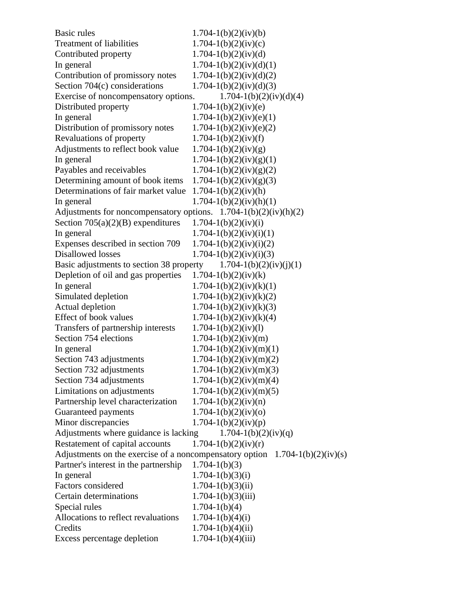| Basic rules                                                                    | $1.704 - 1(b)(2)(iv)(b)$    |
|--------------------------------------------------------------------------------|-----------------------------|
| <b>Treatment of liabilities</b>                                                | $1.704 - 1(b)(2)(iv)(c)$    |
| Contributed property                                                           | $1.704 - 1(b)(2)(iv)(d)$    |
| In general                                                                     | $1.704 - 1(b)(2)(iv)(d)(1)$ |
| Contribution of promissory notes                                               | $1.704 - 1(b)(2)(iv)(d)(2)$ |
| Section 704(c) considerations                                                  | $1.704 - 1(b)(2)(iv)(d)(3)$ |
| Exercise of noncompensatory options.                                           | $1.704 - 1(b)(2)(iv)(d)(4)$ |
| Distributed property                                                           | $1.704 - 1(b)(2)(iv)(e)$    |
| In general                                                                     | $1.704 - 1(b)(2)(iv)(e)(1)$ |
| Distribution of promissory notes                                               | $1.704 - 1(b)(2)(iv)(e)(2)$ |
| Revaluations of property                                                       | $1.704 - 1(b)(2)(iv)(f)$    |
| Adjustments to reflect book value                                              | $1.704 - 1(b)(2)(iv)(g)$    |
| In general                                                                     | $1.704 - 1(b)(2)(iv)(g)(1)$ |
| Payables and receivables                                                       | $1.704 - 1(b)(2)(iv)(g)(2)$ |
| Determining amount of book items                                               | $1.704 - 1(b)(2)(iv)(g)(3)$ |
| Determinations of fair market value                                            | $1.704 - 1(b)(2)(iv)(h)$    |
| In general                                                                     | $1.704 - 1(b)(2)(iv)(h)(1)$ |
| Adjustments for noncompensatory options. $1.704-1(b)(2)(iv)(h)(2)$             |                             |
| Section $705(a)(2)(B)$ expenditures                                            | $1.704 - 1(b)(2)(iv)(i)$    |
| In general                                                                     | $1.704 - 1(b)(2)(iv)(i)(1)$ |
| Expenses described in section 709                                              | $1.704 - 1(b)(2)(iv)(i)(2)$ |
| Disallowed losses                                                              | $1.704 - 1(b)(2)(iv)(i)(3)$ |
| Basic adjustments to section 38 property                                       | $1.704 - 1(b)(2)(iv)(j)(1)$ |
| Depletion of oil and gas properties                                            | $1.704 - 1(b)(2)(iv)(k)$    |
| In general                                                                     | $1.704 - 1(b)(2)(iv)(k)(1)$ |
| Simulated depletion                                                            | $1.704 - 1(b)(2)(iv)(k)(2)$ |
| Actual depletion                                                               | $1.704 - 1(b)(2)(iv)(k)(3)$ |
| Effect of book values                                                          | $1.704 - 1(b)(2)(iv)(k)(4)$ |
| Transfers of partnership interests                                             | $1.704 - 1(b)(2)(iv)(l)$    |
| Section 754 elections                                                          | $1.704 - 1(b)(2)(iv)(m)$    |
| In general                                                                     | $1.704 - 1(b)(2)(iv)(m)(1)$ |
| Section 743 adjustments                                                        | $1.704 - 1(b)(2)(iv)(m)(2)$ |
| Section 732 adjustments                                                        | $1.704 - 1(b)(2)(iv)(m)(3)$ |
| Section 734 adjustments                                                        | $1.704 - 1(b)(2)(iv)(m)(4)$ |
| Limitations on adjustments                                                     | $1.704 - 1(b)(2)(iv)(m)(5)$ |
| Partnership level characterization                                             | $1.704 - 1(b)(2)(iv)(n)$    |
| Guaranteed payments                                                            | $1.704 - 1(b)(2)(iv)(o)$    |
| Minor discrepancies                                                            | $1.704 - 1(b)(2)(iv)(p)$    |
| Adjustments where guidance is lacking                                          | $1.704 - 1(b)(2)(iv)(q)$    |
| Restatement of capital accounts                                                | $1.704 - 1(b)(2)(iv)(r)$    |
| Adjustments on the exercise of a noncompensatory option $1.704-1(b)(2)(iv)(s)$ |                             |
| Partner's interest in the partnership                                          | $1.704 - 1(b)(3)$           |
| In general                                                                     | $1.704 - 1(b)(3)(i)$        |
| Factors considered                                                             |                             |
| Certain determinations                                                         | $1.704 - 1(b)(3)(ii)$       |
|                                                                                | $1.704 - 1(b)(3)(iii)$      |
| Special rules<br>Allocations to reflect revaluations                           | $1.704 - 1(b)(4)$           |
|                                                                                | $1.704 - 1(b)(4)(i)$        |
| Credits                                                                        | $1.704 - 1(b)(4)(ii)$       |
| Excess percentage depletion                                                    | $1.704 - 1(b)(4)(iii)$      |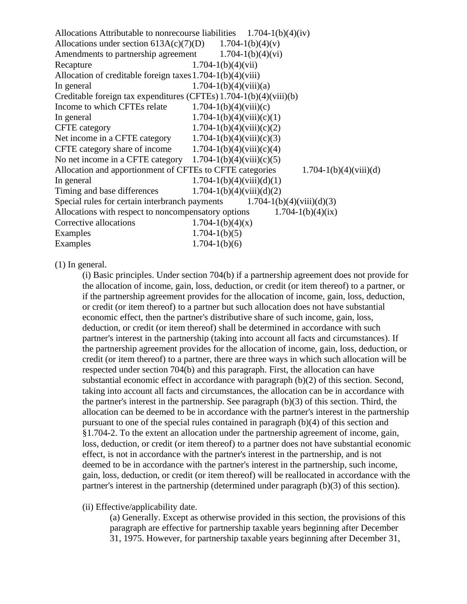| Allocations Attributable to nonrecourse liabilities $1.704-1(b)(4)(iv)$                |                               |  |
|----------------------------------------------------------------------------------------|-------------------------------|--|
| Allocations under section $613A(c)(7)(D)$ 1.704-1(b)(4)(v)                             |                               |  |
| Amendments to partnership agreement                                                    | $1.704 - 1(b)(4)(vi)$         |  |
| Recapture                                                                              | $1.704 - 1(b)(4)(vii)$        |  |
| Allocation of creditable foreign taxes $1.704 - 1(b)(4)(viii)$                         |                               |  |
| In general                                                                             | $1.704 - 1(b)(4)(viii)(a)$    |  |
| Creditable foreign tax expenditures (CFTEs) $1.704 - 1(b)(4)(viii)(b)$                 |                               |  |
| Income to which CFTEs relate $1.704-1(b)(4)(viii)(c)$                                  |                               |  |
| In general                                                                             | $1.704 - 1(b)(4)(viii)(c)(1)$ |  |
| <b>CFTE</b> category                                                                   | $1.704 - 1(b)(4)(viii)(c)(2)$ |  |
| Net income in a CFTE category                                                          | $1.704 - 1(b)(4)(viii)(c)(3)$ |  |
| CFTE category share of income                                                          | $1.704 - 1(b)(4)(viii)(c)(4)$ |  |
| No net income in a CFTE category $1.704-1(b)(4)(viii)(c)(5)$                           |                               |  |
| Allocation and apportionment of CFTEs to CFTE categories<br>$1.704 - 1(b)(4)(viii)(d)$ |                               |  |
| In general                                                                             | $1.704 - 1(b)(4)(viii)(d)(1)$ |  |
| Timing and base differences                                                            | $1.704 - 1(b)(4)(viii)(d)(2)$ |  |
| Special rules for certain interbranch payments $1.704-1(b)(4)(viii)(d)(3)$             |                               |  |
| $1.704 - 1(b)(4)(ix)$<br>Allocations with respect to noncompensatory options           |                               |  |
| Corrective allocations                                                                 | $1.704 - 1(b)(4)(x)$          |  |
| Examples                                                                               | $1.704 - 1(b)(5)$             |  |
| Examples                                                                               | $1.704 - 1(b)(6)$             |  |

(1) In general.

(i) Basic principles. Under section 704(b) if a partnership agreement does not provide for the allocation of income, gain, loss, deduction, or credit (or item thereof) to a partner, or if the partnership agreement provides for the allocation of income, gain, loss, deduction, or credit (or item thereof) to a partner but such allocation does not have substantial economic effect, then the partner's distributive share of such income, gain, loss, deduction, or credit (or item thereof) shall be determined in accordance with such partner's interest in the partnership (taking into account all facts and circumstances). If the partnership agreement provides for the allocation of income, gain, loss, deduction, or credit (or item thereof) to a partner, there are three ways in which such allocation will be respected under section 704(b) and this paragraph. First, the allocation can have substantial economic effect in accordance with paragraph (b)(2) of this section. Second, taking into account all facts and circumstances, the allocation can be in accordance with the partner's interest in the partnership. See paragraph (b)(3) of this section. Third, the allocation can be deemed to be in accordance with the partner's interest in the partnership pursuant to one of the special rules contained in paragraph (b)(4) of this section and §1.704-2. To the extent an allocation under the partnership agreement of income, gain, loss, deduction, or credit (or item thereof) to a partner does not have substantial economic effect, is not in accordance with the partner's interest in the partnership, and is not deemed to be in accordance with the partner's interest in the partnership, such income, gain, loss, deduction, or credit (or item thereof) will be reallocated in accordance with the partner's interest in the partnership (determined under paragraph (b)(3) of this section).

# (ii) Effective/applicability date.

(a) Generally. Except as otherwise provided in this section, the provisions of this paragraph are effective for partnership taxable years beginning after December 31, 1975. However, for partnership taxable years beginning after December 31,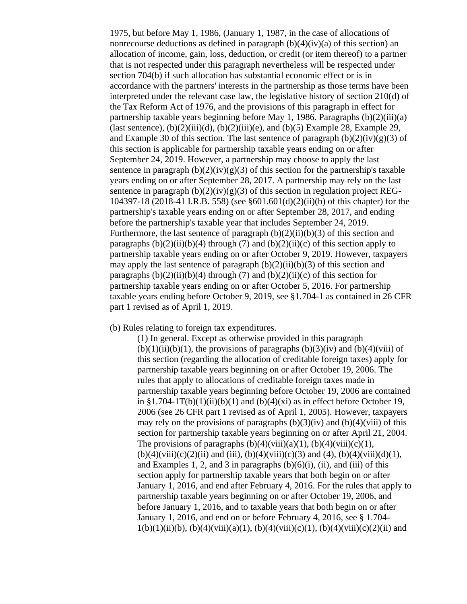1975, but before May 1, 1986, (January 1, 1987, in the case of allocations of nonrecourse deductions as defined in paragraph  $(b)(4)(iv)(a)$  of this section) an allocation of income, gain, loss, deduction, or credit (or item thereof) to a partner that is not respected under this paragraph nevertheless will be respected under section 704(b) if such allocation has substantial economic effect or is in accordance with the partners' interests in the partnership as those terms have been interpreted under the relevant case law, the legislative history of section 210(d) of the Tax Reform Act of 1976, and the provisions of this paragraph in effect for partnership taxable years beginning before May 1, 1986. Paragraphs (b)(2)(iii)(a) (last sentence),  $(b)(2)(iii)(d)$ ,  $(b)(2)(iii)(e)$ , and  $(b)(5)$  Example 28, Example 29, and Example 30 of this section. The last sentence of paragraph  $(b)(2)(iv)(g)(3)$  of this section is applicable for partnership taxable years ending on or after September 24, 2019. However, a partnership may choose to apply the last sentence in paragraph  $(b)(2)(iv)(g)(3)$  of this section for the partnership's taxable years ending on or after September 28, 2017. A partnership may rely on the last sentence in paragraph  $(b)(2)(iv)(g)(3)$  of this section in regulation project REG-104397-18 (2018-41 I.R.B. 558) (see §601.601(d)(2)(ii)(b) of this chapter) for the partnership's taxable years ending on or after September 28, 2017, and ending before the partnership's taxable year that includes September 24, 2019. Furthermore, the last sentence of paragraph  $(b)(2)(ii)(b)(3)$  of this section and paragraphs  $(b)(2)(ii)(b)(4)$  through (7) and  $(b)(2)(ii)(c)$  of this section apply to partnership taxable years ending on or after October 9, 2019. However, taxpayers may apply the last sentence of paragraph  $(b)(2)(ii)(b)(3)$  of this section and paragraphs  $(b)(2)(ii)(b)(4)$  through  $(7)$  and  $(b)(2)(ii)(c)$  of this section for partnership taxable years ending on or after October 5, 2016. For partnership taxable years ending before October 9, 2019, see §1.704-1 as contained in 26 CFR part 1 revised as of April 1, 2019.

## (b) Rules relating to foreign tax expenditures.

(1) In general. Except as otherwise provided in this paragraph  $(b)(1)(ii)(b)(1)$ , the provisions of paragraphs  $(b)(3)(iv)$  and  $(b)(4)(viii)$  of this section (regarding the allocation of creditable foreign taxes) apply for partnership taxable years beginning on or after October 19, 2006. The rules that apply to allocations of creditable foreign taxes made in partnership taxable years beginning before October 19, 2006 are contained in  $\S1.704-1T(b)(1)(ii)(b)(1)$  and  $(b)(4)(xi)$  as in effect before October 19, 2006 (see 26 CFR part 1 revised as of April 1, 2005). However, taxpayers may rely on the provisions of paragraphs  $(b)(3)(iv)$  and  $(b)(4)(viii)$  of this section for partnership taxable years beginning on or after April 21, 2004. The provisions of paragraphs  $(b)(4)(viii)(a)(1)$ ,  $(b)(4)(viii)(c)(1)$ ,  $(b)(4)(viii)(c)(2)(ii)$  and (iii),  $(b)(4)(viii)(c)(3)$  and (4),  $(b)(4)(viii)(d)(1)$ , and Examples 1, 2, and 3 in paragraphs  $(b)(6)(i)$ ,  $(ii)$ , and  $(iii)$  of this section apply for partnership taxable years that both begin on or after January 1, 2016, and end after February 4, 2016. For the rules that apply to partnership taxable years beginning on or after October 19, 2006, and before January 1, 2016, and to taxable years that both begin on or after January 1, 2016, and end on or before February 4, 2016, see § 1.704-  $1(b)(1)(ii)(b), (b)(4)(viii)(a)(1), (b)(4)(viii)(c)(1), (b)(4)(viii)(c)(2)(ii)$  and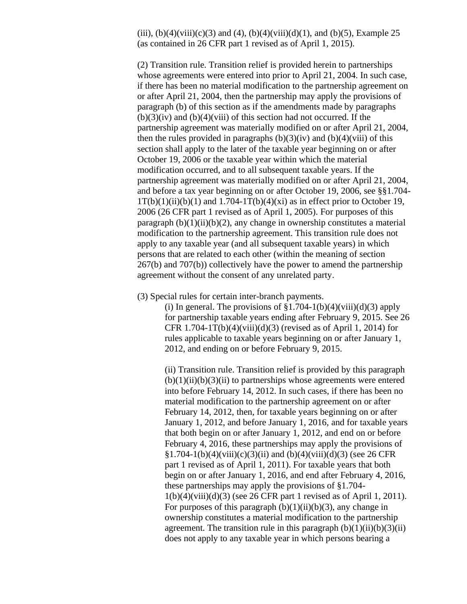(iii), (b)(4)(viii)(c)(3) and (4), (b)(4)(viii)(d)(1), and (b)(5), Example 25 (as contained in 26 CFR part 1 revised as of April 1, 2015).

(2) Transition rule. Transition relief is provided herein to partnerships whose agreements were entered into prior to April 21, 2004. In such case, if there has been no material modification to the partnership agreement on or after April 21, 2004, then the partnership may apply the provisions of paragraph (b) of this section as if the amendments made by paragraphs  $(b)(3)(iv)$  and  $(b)(4)(viii)$  of this section had not occurred. If the partnership agreement was materially modified on or after April 21, 2004, then the rules provided in paragraphs  $(b)(3)(iv)$  and  $(b)(4)(viii)$  of this section shall apply to the later of the taxable year beginning on or after October 19, 2006 or the taxable year within which the material modification occurred, and to all subsequent taxable years. If the partnership agreement was materially modified on or after April 21, 2004, and before a tax year beginning on or after October 19, 2006, see §§1.704-  $1T(b)(1)(ii)(b)(1)$  and  $1.704-1T(b)(4)(xi)$  as in effect prior to October 19, 2006 (26 CFR part 1 revised as of April 1, 2005). For purposes of this paragraph  $(b)(1)(ii)(b)(2)$ , any change in ownership constitutes a material modification to the partnership agreement. This transition rule does not apply to any taxable year (and all subsequent taxable years) in which persons that are related to each other (within the meaning of section 267(b) and 707(b)) collectively have the power to amend the partnership agreement without the consent of any unrelated party.

(3) Special rules for certain inter-branch payments.

(i) In general. The provisions of  $$1.704-1(b)(4)(viii)(d)(3)$  apply for partnership taxable years ending after February 9, 2015. See 26 CFR 1.704-1T(b)(4)(viii)(d)(3) (revised as of April 1, 2014) for rules applicable to taxable years beginning on or after January 1, 2012, and ending on or before February 9, 2015.

(ii) Transition rule. Transition relief is provided by this paragraph  $(b)(1)(ii)(b)(3)(ii)$  to partnerships whose agreements were entered into before February 14, 2012. In such cases, if there has been no material modification to the partnership agreement on or after February 14, 2012, then, for taxable years beginning on or after January 1, 2012, and before January 1, 2016, and for taxable years that both begin on or after January 1, 2012, and end on or before February 4, 2016, these partnerships may apply the provisions of  $\S1.704-1(b)(4)(viii)(c)(3)(ii)$  and  $(b)(4)(viii)(d)(3)$  (see 26 CFR part 1 revised as of April 1, 2011). For taxable years that both begin on or after January 1, 2016, and end after February 4, 2016, these partnerships may apply the provisions of §1.704- 1(b)(4)(viii)(d)(3) (see 26 CFR part 1 revised as of April 1, 2011). For purposes of this paragraph  $(b)(1)(ii)(b)(3)$ , any change in ownership constitutes a material modification to the partnership agreement. The transition rule in this paragraph  $(b)(1)(ii)(b)(3)(ii)$ does not apply to any taxable year in which persons bearing a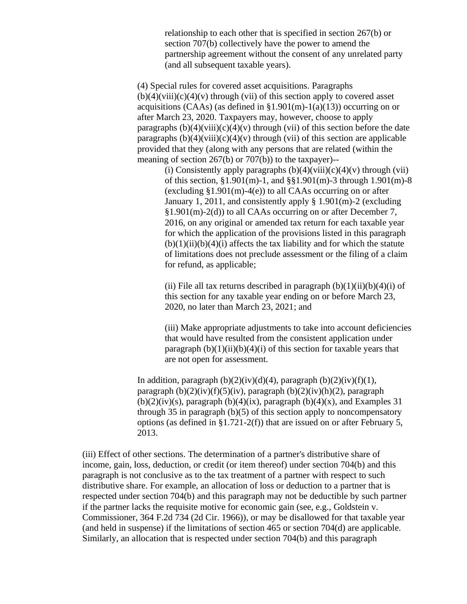relationship to each other that is specified in section 267(b) or section 707(b) collectively have the power to amend the partnership agreement without the consent of any unrelated party (and all subsequent taxable years).

(4) Special rules for covered asset acquisitions. Paragraphs  $(b)(4)(viii)(c)(4)(v)$  through (vii) of this section apply to covered asset acquisitions (CAAs) (as defined in  $\S1.901(m)-1(a)(13)$ ) occurring on or after March 23, 2020. Taxpayers may, however, choose to apply paragraphs  $(b)(4)(viii)(c)(4)(v)$  through (vii) of this section before the date paragraphs  $(b)(4)(viii)(c)(4)(v)$  through (vii) of this section are applicable provided that they (along with any persons that are related (within the meaning of section 267(b) or 707(b)) to the taxpayer)--

> (i) Consistently apply paragraphs  $(b)(4)(viii)(c)(4)(v)$  through (vii) of this section, §1.901(m)-1, and §§1.901(m)-3 through 1.901(m)-8 (excluding  $$1.901(m)-4(e)$ ) to all CAAs occurring on or after January 1, 2011, and consistently apply § 1.901(m)-2 (excluding §1.901(m)-2(d)) to all CAAs occurring on or after December 7, 2016, on any original or amended tax return for each taxable year for which the application of the provisions listed in this paragraph  $(b)(1)(ii)(b)(4)(i)$  affects the tax liability and for which the statute of limitations does not preclude assessment or the filing of a claim for refund, as applicable;

(ii) File all tax returns described in paragraph  $(b)(1)(ii)(b)(4)(i)$  of this section for any taxable year ending on or before March 23, 2020, no later than March 23, 2021; and

(iii) Make appropriate adjustments to take into account deficiencies that would have resulted from the consistent application under paragraph  $(b)(1)(ii)(b)(4)(i)$  of this section for taxable years that are not open for assessment.

In addition, paragraph  $(b)(2)(iv)(d)(4)$ , paragraph  $(b)(2)(iv)(f)(1)$ , paragraph  $(b)(2)(iv)(f)(5)(iv)$ , paragraph  $(b)(2)(iv)(h)(2)$ , paragraph  $(b)(2)(iv)(s)$ , paragraph  $(b)(4)(ix)$ , paragraph  $(b)(4)(x)$ , and Examples 31 through 35 in paragraph (b)(5) of this section apply to noncompensatory options (as defined in §1.721-2(f)) that are issued on or after February 5, 2013.

(iii) Effect of other sections. The determination of a partner's distributive share of income, gain, loss, deduction, or credit (or item thereof) under section 704(b) and this paragraph is not conclusive as to the tax treatment of a partner with respect to such distributive share. For example, an allocation of loss or deduction to a partner that is respected under section 704(b) and this paragraph may not be deductible by such partner if the partner lacks the requisite motive for economic gain (see, e.g., Goldstein v. Commissioner, 364 F.2d 734 (2d Cir. 1966)), or may be disallowed for that taxable year (and held in suspense) if the limitations of section 465 or section 704(d) are applicable. Similarly, an allocation that is respected under section 704(b) and this paragraph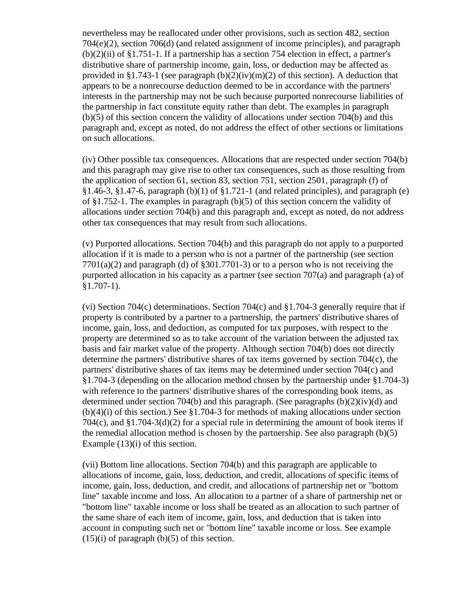nevertheless may be reallocated under other provisions, such as section 482, section 704(e)(2), section 706(d) (and related assignment of income principles), and paragraph  $(b)(2)(ii)$  of §1.751-1. If a partnership has a section 754 election in effect, a partner's distributive share of partnership income, gain, loss, or deduction may be affected as provided in §1.743-1 (see paragraph  $(b)(2)(iv)(m)(2)$  of this section). A deduction that appears to be a nonrecourse deduction deemed to be in accordance with the partners' interests in the partnership may not be such because purported nonrecourse liabilities of the partnership in fact constitute equity rather than debt. The examples in paragraph (b)(5) of this section concern the validity of allocations under section 704(b) and this paragraph and, except as noted, do not address the effect of other sections or limitations on such allocations.

(iv) Other possible tax consequences. Allocations that are respected under section 704(b) and this paragraph may give rise to other tax consequences, such as those resulting from the application of section 61, section 83, section 751, section 2501, paragraph (f) of §1.46-3, §1.47-6, paragraph (b)(1) of §1.721-1 (and related principles), and paragraph (e) of §1.752-1. The examples in paragraph (b)(5) of this section concern the validity of allocations under section 704(b) and this paragraph and, except as noted, do not address other tax consequences that may result from such allocations.

(v) Purported allocations. Section 704(b) and this paragraph do not apply to a purported allocation if it is made to a person who is not a partner of the partnership (see section  $7701(a)(2)$  and paragraph (d) of §301.7701-3) or to a person who is not receiving the purported allocation in his capacity as a partner (see section 707(a) and paragraph (a) of  $§1.707-1$ ).

(vi) Section 704(c) determinations. Section 704(c) and §1.704-3 generally require that if property is contributed by a partner to a partnership, the partners' distributive shares of income, gain, loss, and deduction, as computed for tax purposes, with respect to the property are determined so as to take account of the variation between the adjusted tax basis and fair market value of the property. Although section 704(b) does not directly determine the partners' distributive shares of tax items governed by section 704(c), the partners' distributive shares of tax items may be determined under section 704(c) and §1.704-3 (depending on the allocation method chosen by the partnership under §1.704-3) with reference to the partners' distributive shares of the corresponding book items, as determined under section 704(b) and this paragraph. (See paragraphs (b)(2)(iv)(d) and  $(b)(4)(i)$  of this section.) See §1.704-3 for methods of making allocations under section 704(c), and  $\S1.704-3(d)(2)$  for a special rule in determining the amount of book items if the remedial allocation method is chosen by the partnership. See also paragraph  $(b)(5)$ Example  $(13)(i)$  of this section.

(vii) Bottom line allocations. Section 704(b) and this paragraph are applicable to allocations of income, gain, loss, deduction, and credit, allocations of specific items of income, gain, loss, deduction, and credit, and allocations of partnership net or "bottom line" taxable income and loss. An allocation to a partner of a share of partnership net or "bottom line" taxable income or loss shall be treated as an allocation to such partner of the same share of each item of income, gain, loss, and deduction that is taken into account in computing such net or "bottom line" taxable income or loss. See example  $(15)(i)$  of paragraph  $(b)(5)$  of this section.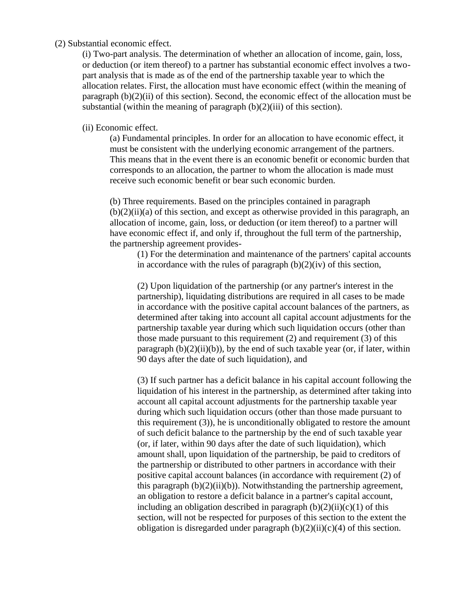## (2) Substantial economic effect.

(i) Two-part analysis. The determination of whether an allocation of income, gain, loss, or deduction (or item thereof) to a partner has substantial economic effect involves a twopart analysis that is made as of the end of the partnership taxable year to which the allocation relates. First, the allocation must have economic effect (within the meaning of paragraph (b)(2)(ii) of this section). Second, the economic effect of the allocation must be substantial (within the meaning of paragraph  $(b)(2)$ (iii) of this section).

#### (ii) Economic effect.

(a) Fundamental principles. In order for an allocation to have economic effect, it must be consistent with the underlying economic arrangement of the partners. This means that in the event there is an economic benefit or economic burden that corresponds to an allocation, the partner to whom the allocation is made must receive such economic benefit or bear such economic burden.

(b) Three requirements. Based on the principles contained in paragraph  $(b)(2)(ii)(a)$  of this section, and except as otherwise provided in this paragraph, an allocation of income, gain, loss, or deduction (or item thereof) to a partner will have economic effect if, and only if, throughout the full term of the partnership, the partnership agreement provides-

(1) For the determination and maintenance of the partners' capital accounts in accordance with the rules of paragraph  $(b)(2)(iv)$  of this section,

(2) Upon liquidation of the partnership (or any partner's interest in the partnership), liquidating distributions are required in all cases to be made in accordance with the positive capital account balances of the partners, as determined after taking into account all capital account adjustments for the partnership taxable year during which such liquidation occurs (other than those made pursuant to this requirement (2) and requirement (3) of this paragraph  $(b)(2)(ii)(b)$ , by the end of such taxable year (or, if later, within 90 days after the date of such liquidation), and

(3) If such partner has a deficit balance in his capital account following the liquidation of his interest in the partnership, as determined after taking into account all capital account adjustments for the partnership taxable year during which such liquidation occurs (other than those made pursuant to this requirement (3)), he is unconditionally obligated to restore the amount of such deficit balance to the partnership by the end of such taxable year (or, if later, within 90 days after the date of such liquidation), which amount shall, upon liquidation of the partnership, be paid to creditors of the partnership or distributed to other partners in accordance with their positive capital account balances (in accordance with requirement (2) of this paragraph  $(b)(2)(ii)(b)$ . Notwithstanding the partnership agreement, an obligation to restore a deficit balance in a partner's capital account, including an obligation described in paragraph  $(b)(2)(ii)(c)(1)$  of this section, will not be respected for purposes of this section to the extent the obligation is disregarded under paragraph  $(b)(2)(ii)(c)(4)$  of this section.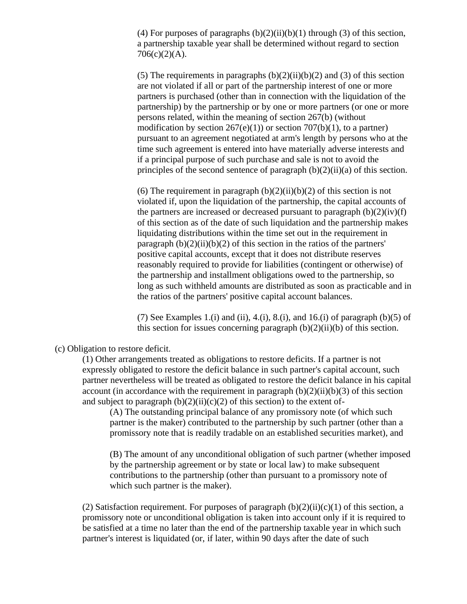(4) For purposes of paragraphs  $(b)(2)(ii)(b)(1)$  through (3) of this section, a partnership taxable year shall be determined without regard to section  $706(c)(2)(A)$ .

(5) The requirements in paragraphs  $(b)(2)(ii)(b)(2)$  and (3) of this section are not violated if all or part of the partnership interest of one or more partners is purchased (other than in connection with the liquidation of the partnership) by the partnership or by one or more partners (or one or more persons related, within the meaning of section 267(b) (without modification by section  $267(e)(1)$ ) or section  $707(b)(1)$ , to a partner) pursuant to an agreement negotiated at arm's length by persons who at the time such agreement is entered into have materially adverse interests and if a principal purpose of such purchase and sale is not to avoid the principles of the second sentence of paragraph  $(b)(2)(ii)(a)$  of this section.

(6) The requirement in paragraph  $(b)(2)(ii)(b)(2)$  of this section is not violated if, upon the liquidation of the partnership, the capital accounts of the partners are increased or decreased pursuant to paragraph  $(b)(2)(iv)(f)$ of this section as of the date of such liquidation and the partnership makes liquidating distributions within the time set out in the requirement in paragraph  $(b)(2)(ii)(b)(2)$  of this section in the ratios of the partners' positive capital accounts, except that it does not distribute reserves reasonably required to provide for liabilities (contingent or otherwise) of the partnership and installment obligations owed to the partnership, so long as such withheld amounts are distributed as soon as practicable and in the ratios of the partners' positive capital account balances.

(7) See Examples 1.(i) and (ii), 4.(i), 8.(i), and 16.(i) of paragraph (b)(5) of this section for issues concerning paragraph  $(b)(2)(ii)(b)$  of this section.

(c) Obligation to restore deficit.

(1) Other arrangements treated as obligations to restore deficits. If a partner is not expressly obligated to restore the deficit balance in such partner's capital account, such partner nevertheless will be treated as obligated to restore the deficit balance in his capital account (in accordance with the requirement in paragraph  $(b)(2)(ii)(b)(3)$  of this section and subject to paragraph  $(b)(2)(ii)(c)(2)$  of this section) to the extent of-

(A) The outstanding principal balance of any promissory note (of which such partner is the maker) contributed to the partnership by such partner (other than a promissory note that is readily tradable on an established securities market), and

(B) The amount of any unconditional obligation of such partner (whether imposed by the partnership agreement or by state or local law) to make subsequent contributions to the partnership (other than pursuant to a promissory note of which such partner is the maker).

(2) Satisfaction requirement. For purposes of paragraph  $(b)(2)(ii)(c)(1)$  of this section, a promissory note or unconditional obligation is taken into account only if it is required to be satisfied at a time no later than the end of the partnership taxable year in which such partner's interest is liquidated (or, if later, within 90 days after the date of such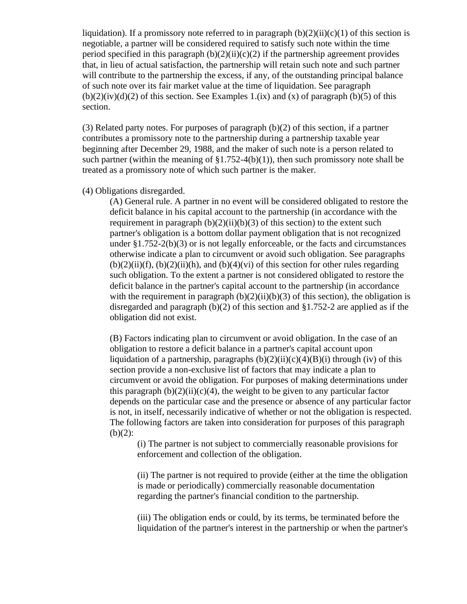liquidation). If a promissory note referred to in paragraph  $(b)(2)(ii)(c)(1)$  of this section is negotiable, a partner will be considered required to satisfy such note within the time period specified in this paragraph  $(b)(2)(ii)(c)(2)$  if the partnership agreement provides that, in lieu of actual satisfaction, the partnership will retain such note and such partner will contribute to the partnership the excess, if any, of the outstanding principal balance of such note over its fair market value at the time of liquidation. See paragraph  $(b)(2)(iv)(d)(2)$  of this section. See Examples 1.(ix) and (x) of paragraph (b)(5) of this section.

(3) Related party notes. For purposes of paragraph (b)(2) of this section, if a partner contributes a promissory note to the partnership during a partnership taxable year beginning after December 29, 1988, and the maker of such note is a person related to such partner (within the meaning of  $\S1.752-4(b)(1)$ ), then such promissory note shall be treated as a promissory note of which such partner is the maker.

(4) Obligations disregarded.

(A) General rule. A partner in no event will be considered obligated to restore the deficit balance in his capital account to the partnership (in accordance with the requirement in paragraph  $(b)(2)(ii)(b)(3)$  of this section) to the extent such partner's obligation is a bottom dollar payment obligation that is not recognized under §1.752-2(b)(3) or is not legally enforceable, or the facts and circumstances otherwise indicate a plan to circumvent or avoid such obligation. See paragraphs  $(b)(2)(ii)(f)$ ,  $(b)(2)(ii)(h)$ , and  $(b)(4)(vi)$  of this section for other rules regarding such obligation. To the extent a partner is not considered obligated to restore the deficit balance in the partner's capital account to the partnership (in accordance with the requirement in paragraph  $(b)(2)(ii)(b)(3)$  of this section), the obligation is disregarded and paragraph (b)(2) of this section and §1.752-2 are applied as if the obligation did not exist.

(B) Factors indicating plan to circumvent or avoid obligation. In the case of an obligation to restore a deficit balance in a partner's capital account upon liquidation of a partnership, paragraphs  $(b)(2)(ii)(c)(4)(B)(i)$  through (iv) of this section provide a non-exclusive list of factors that may indicate a plan to circumvent or avoid the obligation. For purposes of making determinations under this paragraph  $(b)(2)(ii)(c)(4)$ , the weight to be given to any particular factor depends on the particular case and the presence or absence of any particular factor is not, in itself, necessarily indicative of whether or not the obligation is respected. The following factors are taken into consideration for purposes of this paragraph  $(b)(2)$ :

(i) The partner is not subject to commercially reasonable provisions for enforcement and collection of the obligation.

(ii) The partner is not required to provide (either at the time the obligation is made or periodically) commercially reasonable documentation regarding the partner's financial condition to the partnership.

(iii) The obligation ends or could, by its terms, be terminated before the liquidation of the partner's interest in the partnership or when the partner's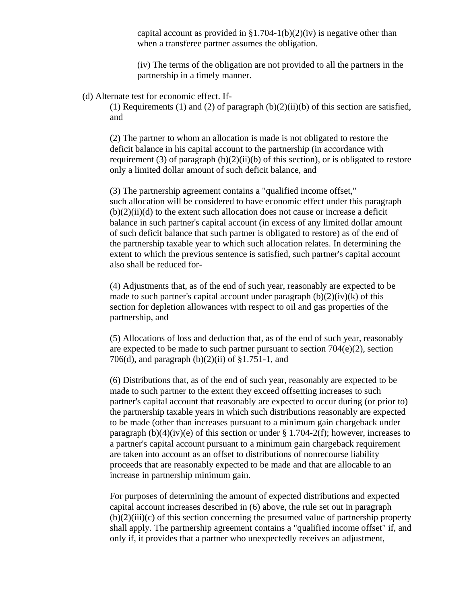capital account as provided in  $\S1.704-1(b)(2)(iv)$  is negative other than when a transferee partner assumes the obligation.

(iv) The terms of the obligation are not provided to all the partners in the partnership in a timely manner.

#### (d) Alternate test for economic effect. If-

(1) Requirements (1) and (2) of paragraph  $(b)(2)(ii)(b)$  of this section are satisfied, and

(2) The partner to whom an allocation is made is not obligated to restore the deficit balance in his capital account to the partnership (in accordance with requirement (3) of paragraph  $(b)(2)(ii)(b)$  of this section), or is obligated to restore only a limited dollar amount of such deficit balance, and

(3) The partnership agreement contains a "qualified income offset," such allocation will be considered to have economic effect under this paragraph  $(b)(2)(ii)(d)$  to the extent such allocation does not cause or increase a deficit balance in such partner's capital account (in excess of any limited dollar amount of such deficit balance that such partner is obligated to restore) as of the end of the partnership taxable year to which such allocation relates. In determining the extent to which the previous sentence is satisfied, such partner's capital account also shall be reduced for-

(4) Adjustments that, as of the end of such year, reasonably are expected to be made to such partner's capital account under paragraph  $(b)(2)(iv)(k)$  of this section for depletion allowances with respect to oil and gas properties of the partnership, and

(5) Allocations of loss and deduction that, as of the end of such year, reasonably are expected to be made to such partner pursuant to section  $704(e)(2)$ , section 706(d), and paragraph (b)(2)(ii) of §1.751-1, and

(6) Distributions that, as of the end of such year, reasonably are expected to be made to such partner to the extent they exceed offsetting increases to such partner's capital account that reasonably are expected to occur during (or prior to) the partnership taxable years in which such distributions reasonably are expected to be made (other than increases pursuant to a minimum gain chargeback under paragraph  $(b)(4)(iv)(e)$  of this section or under § 1.704-2(f); however, increases to a partner's capital account pursuant to a minimum gain chargeback requirement are taken into account as an offset to distributions of nonrecourse liability proceeds that are reasonably expected to be made and that are allocable to an increase in partnership minimum gain.

For purposes of determining the amount of expected distributions and expected capital account increases described in (6) above, the rule set out in paragraph  $(b)(2)(iii)(c)$  of this section concerning the presumed value of partnership property shall apply. The partnership agreement contains a "qualified income offset" if, and only if, it provides that a partner who unexpectedly receives an adjustment,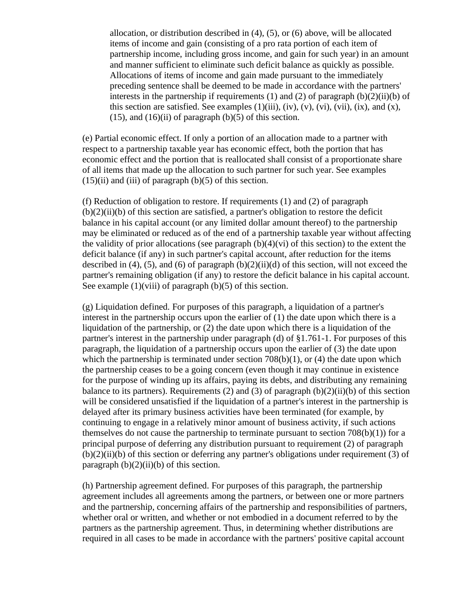allocation, or distribution described in (4), (5), or (6) above, will be allocated items of income and gain (consisting of a pro rata portion of each item of partnership income, including gross income, and gain for such year) in an amount and manner sufficient to eliminate such deficit balance as quickly as possible. Allocations of items of income and gain made pursuant to the immediately preceding sentence shall be deemed to be made in accordance with the partners' interests in the partnership if requirements (1) and (2) of paragraph  $(b)(2)(ii)(b)$  of this section are satisfied. See examples  $(1)(iii)$ ,  $(iv)$ ,  $(v)$ ,  $(vi)$ ,  $(vii)$ ,  $(ix)$ , and  $(x)$ ,  $(15)$ , and  $(16)(ii)$  of paragraph  $(b)(5)$  of this section.

(e) Partial economic effect. If only a portion of an allocation made to a partner with respect to a partnership taxable year has economic effect, both the portion that has economic effect and the portion that is reallocated shall consist of a proportionate share of all items that made up the allocation to such partner for such year. See examples  $(15)(ii)$  and  $(iii)$  of paragraph  $(b)(5)$  of this section.

(f) Reduction of obligation to restore. If requirements (1) and (2) of paragraph  $(b)(2)(ii)(b)$  of this section are satisfied, a partner's obligation to restore the deficit balance in his capital account (or any limited dollar amount thereof) to the partnership may be eliminated or reduced as of the end of a partnership taxable year without affecting the validity of prior allocations (see paragraph  $(b)(4)(vi)$  of this section) to the extent the deficit balance (if any) in such partner's capital account, after reduction for the items described in (4), (5), and (6) of paragraph  $(b)(2)(ii)(d)$  of this section, will not exceed the partner's remaining obligation (if any) to restore the deficit balance in his capital account. See example  $(1)$ (viii) of paragraph  $(b)$ (5) of this section.

(g) Liquidation defined. For purposes of this paragraph, a liquidation of a partner's interest in the partnership occurs upon the earlier of (1) the date upon which there is a liquidation of the partnership, or (2) the date upon which there is a liquidation of the partner's interest in the partnership under paragraph (d) of §1.761-1. For purposes of this paragraph, the liquidation of a partnership occurs upon the earlier of (3) the date upon which the partnership is terminated under section  $708(b)(1)$ , or (4) the date upon which the partnership ceases to be a going concern (even though it may continue in existence for the purpose of winding up its affairs, paying its debts, and distributing any remaining balance to its partners). Requirements (2) and (3) of paragraph  $(b)(2)(ii)(b)$  of this section will be considered unsatisfied if the liquidation of a partner's interest in the partnership is delayed after its primary business activities have been terminated (for example, by continuing to engage in a relatively minor amount of business activity, if such actions themselves do not cause the partnership to terminate pursuant to section  $708(b)(1)$  for a principal purpose of deferring any distribution pursuant to requirement (2) of paragraph  $(b)(2)(ii)(b)$  of this section or deferring any partner's obligations under requirement (3) of paragraph  $(b)(2)(ii)(b)$  of this section.

(h) Partnership agreement defined. For purposes of this paragraph, the partnership agreement includes all agreements among the partners, or between one or more partners and the partnership, concerning affairs of the partnership and responsibilities of partners, whether oral or written, and whether or not embodied in a document referred to by the partners as the partnership agreement. Thus, in determining whether distributions are required in all cases to be made in accordance with the partners' positive capital account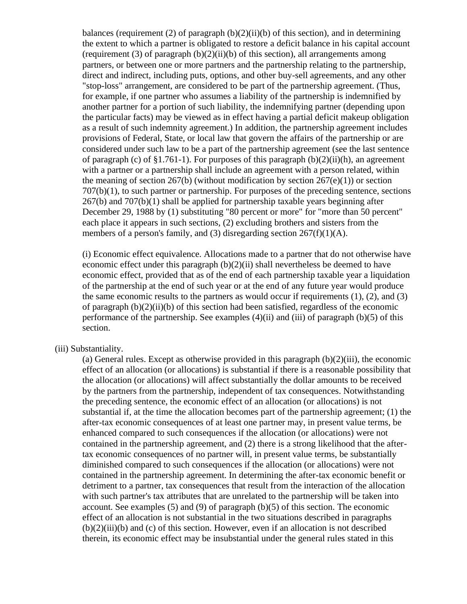balances (requirement  $(2)$  of paragraph  $(b)(2)(ii)(b)$  of this section), and in determining the extent to which a partner is obligated to restore a deficit balance in his capital account (requirement  $(3)$  of paragraph  $(b)(2)(ii)(b)$  of this section), all arrangements among partners, or between one or more partners and the partnership relating to the partnership, direct and indirect, including puts, options, and other buy-sell agreements, and any other "stop-loss" arrangement, are considered to be part of the partnership agreement. (Thus, for example, if one partner who assumes a liability of the partnership is indemnified by another partner for a portion of such liability, the indemnifying partner (depending upon the particular facts) may be viewed as in effect having a partial deficit makeup obligation as a result of such indemnity agreement.) In addition, the partnership agreement includes provisions of Federal, State, or local law that govern the affairs of the partnership or are considered under such law to be a part of the partnership agreement (see the last sentence of paragraph (c) of §1.761-1). For purposes of this paragraph  $(b)(2)(ii)(h)$ , an agreement with a partner or a partnership shall include an agreement with a person related, within the meaning of section  $267(b)$  (without modification by section  $267(e)(1)$ ) or section 707(b)(1), to such partner or partnership. For purposes of the preceding sentence, sections 267(b) and 707(b)(1) shall be applied for partnership taxable years beginning after December 29, 1988 by (1) substituting "80 percent or more" for "more than 50 percent" each place it appears in such sections, (2) excluding brothers and sisters from the members of a person's family, and (3) disregarding section  $267(f)(1)(A)$ .

(i) Economic effect equivalence. Allocations made to a partner that do not otherwise have economic effect under this paragraph (b)(2)(ii) shall nevertheless be deemed to have economic effect, provided that as of the end of each partnership taxable year a liquidation of the partnership at the end of such year or at the end of any future year would produce the same economic results to the partners as would occur if requirements  $(1)$ ,  $(2)$ , and  $(3)$ of paragraph  $(b)(2)(ii)(b)$  of this section had been satisfied, regardless of the economic performance of the partnership. See examples  $(4)(ii)$  and  $(iii)$  of paragraph  $(b)(5)$  of this section.

## (iii) Substantiality.

(a) General rules. Except as otherwise provided in this paragraph  $(b)(2)(iii)$ , the economic effect of an allocation (or allocations) is substantial if there is a reasonable possibility that the allocation (or allocations) will affect substantially the dollar amounts to be received by the partners from the partnership, independent of tax consequences. Notwithstanding the preceding sentence, the economic effect of an allocation (or allocations) is not substantial if, at the time the allocation becomes part of the partnership agreement; (1) the after-tax economic consequences of at least one partner may, in present value terms, be enhanced compared to such consequences if the allocation (or allocations) were not contained in the partnership agreement, and (2) there is a strong likelihood that the aftertax economic consequences of no partner will, in present value terms, be substantially diminished compared to such consequences if the allocation (or allocations) were not contained in the partnership agreement. In determining the after-tax economic benefit or detriment to a partner, tax consequences that result from the interaction of the allocation with such partner's tax attributes that are unrelated to the partnership will be taken into account. See examples (5) and (9) of paragraph (b)(5) of this section. The economic effect of an allocation is not substantial in the two situations described in paragraphs (b)(2)(iii)(b) and (c) of this section. However, even if an allocation is not described therein, its economic effect may be insubstantial under the general rules stated in this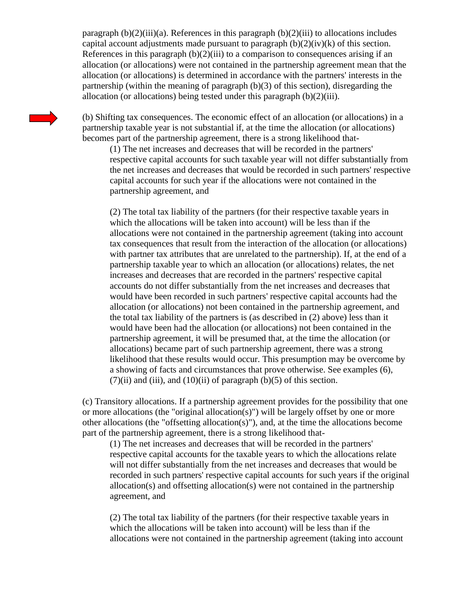paragraph  $(b)(2)(iii)(a)$ . References in this paragraph  $(b)(2)(iii)$  to allocations includes capital account adjustments made pursuant to paragraph  $(b)(2)(iv)(k)$  of this section. References in this paragraph  $(b)(2)(iii)$  to a comparison to consequences arising if an allocation (or allocations) were not contained in the partnership agreement mean that the allocation (or allocations) is determined in accordance with the partners' interests in the partnership (within the meaning of paragraph (b)(3) of this section), disregarding the allocation (or allocations) being tested under this paragraph (b)(2)(iii).

(b) Shifting tax consequences. The economic effect of an allocation (or allocations) in a partnership taxable year is not substantial if, at the time the allocation (or allocations) becomes part of the partnership agreement, there is a strong likelihood that-

(1) The net increases and decreases that will be recorded in the partners' respective capital accounts for such taxable year will not differ substantially from the net increases and decreases that would be recorded in such partners' respective capital accounts for such year if the allocations were not contained in the partnership agreement, and

(2) The total tax liability of the partners (for their respective taxable years in which the allocations will be taken into account) will be less than if the allocations were not contained in the partnership agreement (taking into account tax consequences that result from the interaction of the allocation (or allocations) with partner tax attributes that are unrelated to the partnership). If, at the end of a partnership taxable year to which an allocation (or allocations) relates, the net increases and decreases that are recorded in the partners' respective capital accounts do not differ substantially from the net increases and decreases that would have been recorded in such partners' respective capital accounts had the allocation (or allocations) not been contained in the partnership agreement, and the total tax liability of the partners is (as described in (2) above) less than it would have been had the allocation (or allocations) not been contained in the partnership agreement, it will be presumed that, at the time the allocation (or allocations) became part of such partnership agreement, there was a strong likelihood that these results would occur. This presumption may be overcome by a showing of facts and circumstances that prove otherwise. See examples (6),  $(7)(ii)$  and  $(iii)$ , and  $(10)(ii)$  of paragraph  $(b)(5)$  of this section.

(c) Transitory allocations. If a partnership agreement provides for the possibility that one or more allocations (the "original allocation(s)") will be largely offset by one or more other allocations (the "offsetting allocation(s)"), and, at the time the allocations become part of the partnership agreement, there is a strong likelihood that-

(1) The net increases and decreases that will be recorded in the partners' respective capital accounts for the taxable years to which the allocations relate will not differ substantially from the net increases and decreases that would be recorded in such partners' respective capital accounts for such years if the original allocation(s) and offsetting allocation(s) were not contained in the partnership agreement, and

(2) The total tax liability of the partners (for their respective taxable years in which the allocations will be taken into account) will be less than if the allocations were not contained in the partnership agreement (taking into account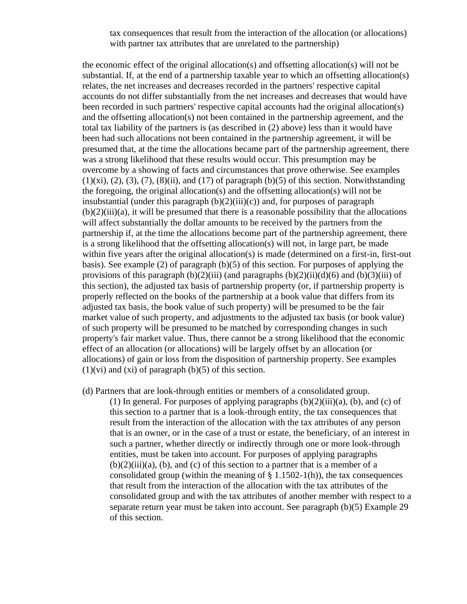## tax consequences that result from the interaction of the allocation (or allocations) with partner tax attributes that are unrelated to the partnership)

the economic effect of the original allocation(s) and offsetting allocation(s) will not be substantial. If, at the end of a partnership taxable year to which an offsetting allocation(s) relates, the net increases and decreases recorded in the partners' respective capital accounts do not differ substantially from the net increases and decreases that would have been recorded in such partners' respective capital accounts had the original allocation(s) and the offsetting allocation(s) not been contained in the partnership agreement, and the total tax liability of the partners is (as described in (2) above) less than it would have been had such allocations not been contained in the partnership agreement, it will be presumed that, at the time the allocations became part of the partnership agreement, there was a strong likelihood that these results would occur. This presumption may be overcome by a showing of facts and circumstances that prove otherwise. See examples  $(1)(xi)$ ,  $(2)$ ,  $(3)$ ,  $(7)$ ,  $(8)(ii)$ , and  $(17)$  of paragraph  $(b)(5)$  of this section. Notwithstanding the foregoing, the original allocation(s) and the offsetting allocation(s) will not be insubstantial (under this paragraph  $(b)(2)(iii)(c)$ ) and, for purposes of paragraph  $(b)(2)(iii)(a)$ , it will be presumed that there is a reasonable possibility that the allocations will affect substantially the dollar amounts to be received by the partners from the partnership if, at the time the allocations become part of the partnership agreement, there is a strong likelihood that the offsetting allocation(s) will not, in large part, be made within five years after the original allocation(s) is made (determined on a first-in, first-out basis). See example (2) of paragraph (b)(5) of this section. For purposes of applying the provisions of this paragraph  $(b)(2)(iii)$  (and paragraphs  $(b)(2)(ii)(d)(6)$  and  $(b)(3)(iii)$  of this section), the adjusted tax basis of partnership property (or, if partnership property is properly reflected on the books of the partnership at a book value that differs from its adjusted tax basis, the book value of such property) will be presumed to be the fair market value of such property, and adjustments to the adjusted tax basis (or book value) of such property will be presumed to be matched by corresponding changes in such property's fair market value. Thus, there cannot be a strong likelihood that the economic effect of an allocation (or allocations) will be largely offset by an allocation (or allocations) of gain or loss from the disposition of partnership property. See examples  $(1)(vi)$  and  $(xi)$  of paragraph  $(b)(5)$  of this section.

(d) Partners that are look-through entities or members of a consolidated group.

(1) In general. For purposes of applying paragraphs  $(b)(2)(iii)(a)$ ,  $(b)$ , and  $(c)$  of this section to a partner that is a look-through entity, the tax consequences that result from the interaction of the allocation with the tax attributes of any person that is an owner, or in the case of a trust or estate, the beneficiary, of an interest in such a partner, whether directly or indirectly through one or more look-through entities, must be taken into account. For purposes of applying paragraphs  $(b)(2)(iii)(a)$ ,  $(b)$ , and  $(c)$  of this section to a partner that is a member of a consolidated group (within the meaning of  $\S$  1.1502-1(h)), the tax consequences that result from the interaction of the allocation with the tax attributes of the consolidated group and with the tax attributes of another member with respect to a separate return year must be taken into account. See paragraph (b)(5) Example 29 of this section.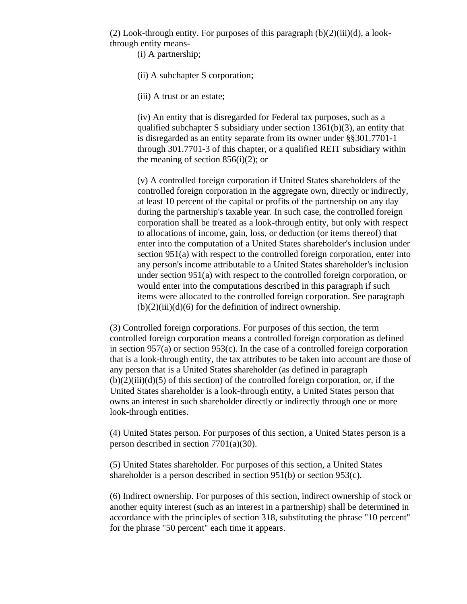(2) Look-through entity. For purposes of this paragraph  $(b)(2)(iii)(d)$ , a lookthrough entity means-

(i) A partnership;

(ii) A subchapter S corporation;

(iii) A trust or an estate;

(iv) An entity that is disregarded for Federal tax purposes, such as a qualified subchapter S subsidiary under section 1361(b)(3), an entity that is disregarded as an entity separate from its owner under §§301.7701-1 through 301.7701-3 of this chapter, or a qualified REIT subsidiary within the meaning of section  $856(i)(2)$ ; or

(v) A controlled foreign corporation if United States shareholders of the controlled foreign corporation in the aggregate own, directly or indirectly, at least 10 percent of the capital or profits of the partnership on any day during the partnership's taxable year. In such case, the controlled foreign corporation shall be treated as a look-through entity, but only with respect to allocations of income, gain, loss, or deduction (or items thereof) that enter into the computation of a United States shareholder's inclusion under section 951(a) with respect to the controlled foreign corporation, enter into any person's income attributable to a United States shareholder's inclusion under section 951(a) with respect to the controlled foreign corporation, or would enter into the computations described in this paragraph if such items were allocated to the controlled foreign corporation. See paragraph  $(b)(2)(iii)(d)(6)$  for the definition of indirect ownership.

(3) Controlled foreign corporations. For purposes of this section, the term controlled foreign corporation means a controlled foreign corporation as defined in section 957(a) or section 953(c). In the case of a controlled foreign corporation that is a look-through entity, the tax attributes to be taken into account are those of any person that is a United States shareholder (as defined in paragraph  $(b)(2)(iii)(d)(5)$  of this section) of the controlled foreign corporation, or, if the United States shareholder is a look-through entity, a United States person that owns an interest in such shareholder directly or indirectly through one or more look-through entities.

(4) United States person. For purposes of this section, a United States person is a person described in section 7701(a)(30).

(5) United States shareholder. For purposes of this section, a United States shareholder is a person described in section 951(b) or section 953(c).

(6) Indirect ownership. For purposes of this section, indirect ownership of stock or another equity interest (such as an interest in a partnership) shall be determined in accordance with the principles of section 318, substituting the phrase "10 percent" for the phrase "50 percent" each time it appears.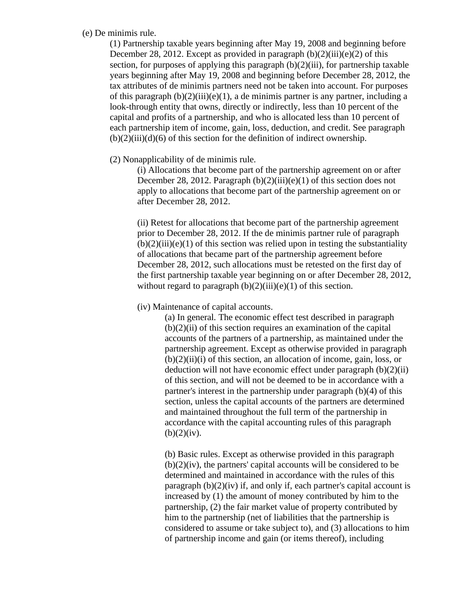#### (e) De minimis rule.

(1) Partnership taxable years beginning after May 19, 2008 and beginning before December 28, 2012. Except as provided in paragraph  $(b)(2)(iii)(e)(2)$  of this section, for purposes of applying this paragraph  $(b)(2)(iii)$ , for partnership taxable years beginning after May 19, 2008 and beginning before December 28, 2012, the tax attributes of de minimis partners need not be taken into account. For purposes of this paragraph  $(b)(2)(iii)(e)(1)$ , a de minimis partner is any partner, including a look-through entity that owns, directly or indirectly, less than 10 percent of the capital and profits of a partnership, and who is allocated less than 10 percent of each partnership item of income, gain, loss, deduction, and credit. See paragraph  $(b)(2)(iii)(d)(6)$  of this section for the definition of indirect ownership.

# (2) Nonapplicability of de minimis rule.

(i) Allocations that become part of the partnership agreement on or after December 28, 2012. Paragraph  $(b)(2)(iii)(e)(1)$  of this section does not apply to allocations that become part of the partnership agreement on or after December 28, 2012.

(ii) Retest for allocations that become part of the partnership agreement prior to December 28, 2012. If the de minimis partner rule of paragraph  $(b)(2)(iii)(e)(1)$  of this section was relied upon in testing the substantiality of allocations that became part of the partnership agreement before December 28, 2012, such allocations must be retested on the first day of the first partnership taxable year beginning on or after December 28, 2012, without regard to paragraph  $(b)(2)(iii)(e)(1)$  of this section.

# (iv) Maintenance of capital accounts.

(a) In general. The economic effect test described in paragraph  $(b)(2)(ii)$  of this section requires an examination of the capital accounts of the partners of a partnership, as maintained under the partnership agreement. Except as otherwise provided in paragraph  $(b)(2)(ii)(i)$  of this section, an allocation of income, gain, loss, or deduction will not have economic effect under paragraph  $(b)(2)(ii)$ of this section, and will not be deemed to be in accordance with a partner's interest in the partnership under paragraph (b)(4) of this section, unless the capital accounts of the partners are determined and maintained throughout the full term of the partnership in accordance with the capital accounting rules of this paragraph  $(b)(2)(iv).$ 

(b) Basic rules. Except as otherwise provided in this paragraph (b)(2)(iv), the partners' capital accounts will be considered to be determined and maintained in accordance with the rules of this paragraph  $(b)(2)(iv)$  if, and only if, each partner's capital account is increased by (1) the amount of money contributed by him to the partnership, (2) the fair market value of property contributed by him to the partnership (net of liabilities that the partnership is considered to assume or take subject to), and (3) allocations to him of partnership income and gain (or items thereof), including